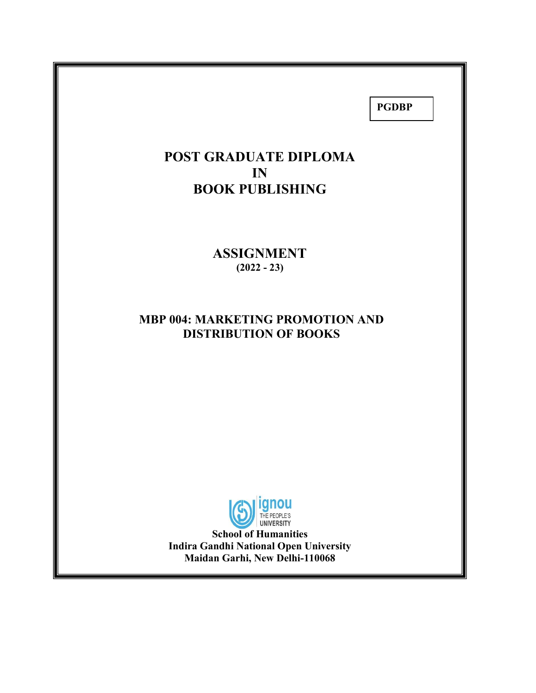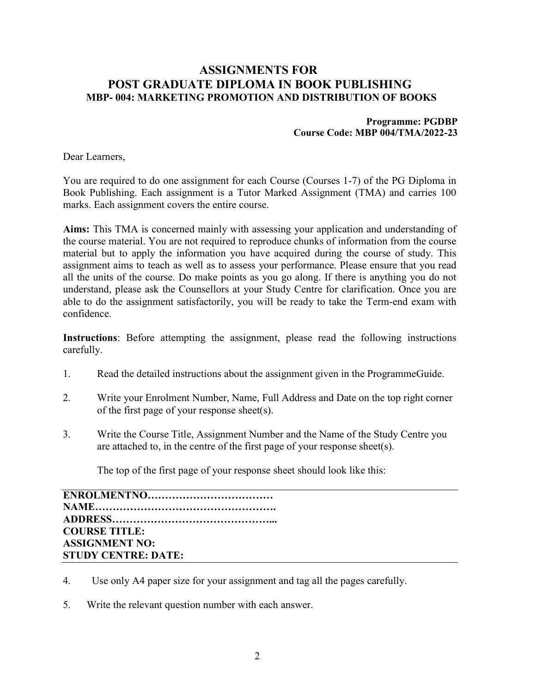## ASSIGNMENTS FOR POST GRADUATE DIPLOMA IN BOOK PUBLISHING MBP- 004: MARKETING PROMOTION AND DISTRIBUTION OF BOOKS

#### Programme: PGDBP Course Code: MBP 004/TMA/2022-23

Dear Learners,

You are required to do one assignment for each Course (Courses 1-7) of the PG Diploma in Book Publishing. Each assignment is a Tutor Marked Assignment (TMA) and carries 100 marks. Each assignment covers the entire course.

Aims: This TMA is concerned mainly with assessing your application and understanding of the course material. You are not required to reproduce chunks of information from the course material but to apply the information you have acquired during the course of study. This assignment aims to teach as well as to assess your performance. Please ensure that you read all the units of the course. Do make points as you go along. If there is anything you do not understand, please ask the Counsellors at your Study Centre for clarification. Once you are able to do the assignment satisfactorily, you will be ready to take the Term-end exam with confidence.

Instructions: Before attempting the assignment, please read the following instructions carefully.

- 1. Read the detailed instructions about the assignment given in the ProgrammeGuide.
- 2. Write your Enrolment Number, Name, Full Address and Date on the top right corner of the first page of your response sheet(s).
- 3. Write the Course Title, Assignment Number and the Name of the Study Centre you are attached to, in the centre of the first page of your response sheet(s).

The top of the first page of your response sheet should look like this:

ENROLMENTNO……………………………… NAME……………………………………………. ADDRESS………………………………………... COURSE TITLE: ASSIGNMENT NO: STUDY CENTRE: DATE:

- 4. Use only A4 paper size for your assignment and tag all the pages carefully.
- 5. Write the relevant question number with each answer.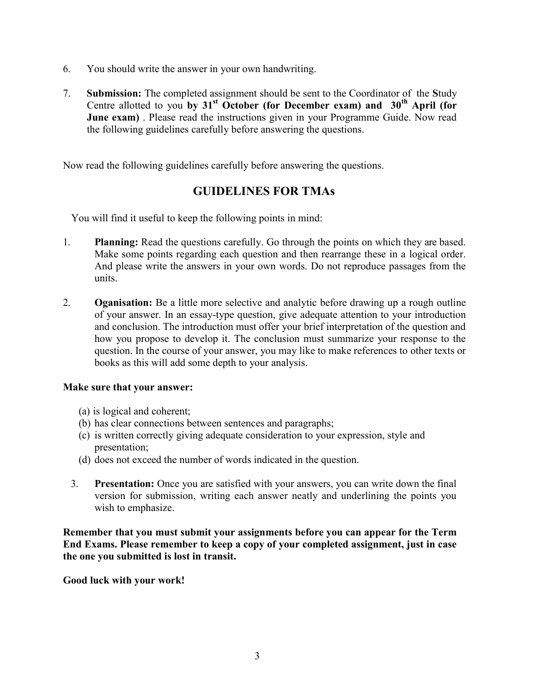- 6. You should write the answer in your own handwriting.
- 7. Submission: The completed assignment should be sent to the Coordinator of the Study Centre allotted to you by  $31<sup>st</sup>$  October (for December exam) and  $30<sup>th</sup>$  April (for **June exam)**. Please read the instructions given in your Programme Guide. Now read the following guidelines carefully before answering the questions.

Now read the following guidelines carefully before answering the questions.

# GUIDELINES FOR TMAs

You will find it useful to keep the following points in mind:

- 1. Planning: Read the questions carefully. Go through the points on which they are based. Make some points regarding each question and then rearrange these in a logical order. And please write the answers in your own words. Do not reproduce passages from the units.
- 2. Oganisation: Be a little more selective and analytic before drawing up a rough outline of your answer. In an essay-type question, give adequate attention to your introduction and conclusion. The introduction must offer your brief interpretation of the question and how you propose to develop it. The conclusion must summarize your response to the question. In the course of your answer, you may like to make references to other texts or books as this will add some depth to your analysis.

### Make sure that your answer:

- (a) is logical and coherent;
- (b) has clear connections between sentences and paragraphs;
- (c) is written correctly giving adequate consideration to your expression, style and presentation;
- (d) does not exceed the number of words indicated in the question.
- 3. Presentation: Once you are satisfied with your answers, you can write down the final version for submission, writing each answer neatly and underlining the points you wish to emphasize.

Remember that you must submit your assignments before you can appear for the Term End Exams. Please remember to keep a copy of your completed assignment, just in case the one you submitted is lost in transit.

Good luck with your work!